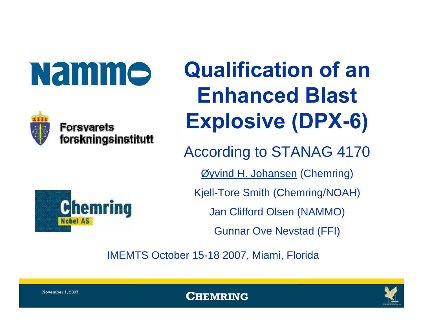**Namme** 



**Forsvarets** forskningsinstitutt

# **Qualification of an Enhanced Blast Explosive (DPX-6)**

According to STANAG 4170

Øyvind H. Johansen (Chemring)

Kjell-Tore Smith (Chemring/NOAH)

Jan Clifford Olsen (NAMMO)

Gunnar Ove Nevstad (FFI)

IMEMTS October 15-18 2007, Miami, Florida





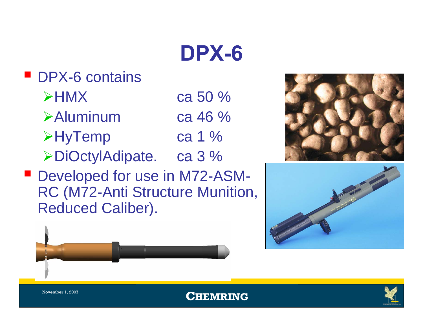

#### **DPX-6 contains**  $\blacktriangleright$ HMX ca 50 %¾Aluminum ca 46 %¾HyTemp ca 1 %

- ¾DiOctylAdipate. ca 3 %
- Developed for use in M72-ASM-RC (M72-Anti Structure Munition, Reduced Caliber).







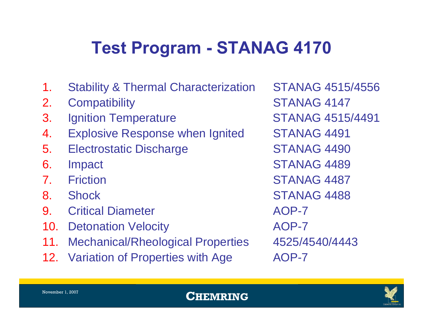#### **Test Program - STANAG 4170**

- 1. Stability & Thermal Characterization STANAG 4515/4556
- 2. Compatibility STANAG 4147
- 3. Ignition Temperature STANAG 4515/4491
- 4. Explosive Response when Ignited STANAG 4491
- 5. Electrostatic Discharge STANAG 4490
- 
- 
- 
- 9. Critical Diameter **AOP-7**
- 10. Detonation Velocity **AOP-7**
- 11. Mechanical/Rheological Properties 4525/4540/4443
- 12. Variation of Properties with Age AOP-7

6. Impact STANAG 4489 7. Friction STANAG 4487 8. Shock STANAG 4488

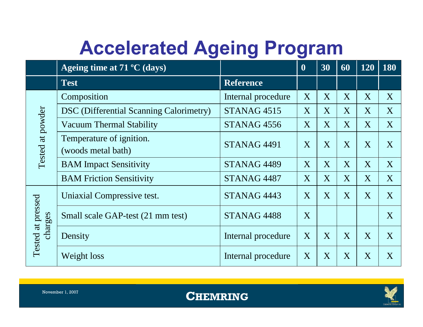### **Accelerated Ageing Program**

|                              | Ageing time at $71 \,^{\circ}\mathrm{C}$ (days) |                        | $\boldsymbol{0}$ | 30 | 60 | 120 | 180 |
|------------------------------|-------------------------------------------------|------------------------|------------------|----|----|-----|-----|
|                              | <b>Test</b>                                     | <b>Reference</b>       |                  |    |    |     |     |
|                              | Composition                                     | Internal procedure     | X                | X  | X  | X   | X   |
|                              | <b>DSC</b> (Differential Scanning Calorimetry)  | STANAG <sub>4515</sub> | X                | X  | X  | X   | X   |
|                              | Vacuum Thermal Stability                        | STANAG <sub>4556</sub> | X                | X  | X  | X   | X   |
| Tested at powder             | Temperature of ignition.<br>(woods metal bath)  | STANAG <sub>4491</sub> | X                | X  | X  | X   | X   |
|                              | <b>BAM</b> Impact Sensitivity                   | STANAG <sub>4489</sub> |                  | X  | X  | X   | X   |
|                              | <b>BAM Friction Sensitivity</b>                 | STANAG <sub>4487</sub> | X                | X  | X  | X   | X   |
|                              | Uniaxial Compressive test.                      | STANAG <sub>4443</sub> | X                | X  | X  | X   | X   |
| Tested at pressed<br>charges | Small scale GAP-test (21 mm test)               | STANAG 4488            | X                |    |    |     | X   |
|                              | Density                                         | Internal procedure     | X                | X  | X  | X   | X   |
|                              | Weight loss                                     | Internal procedure     | X                | X  | X  | X   | X   |



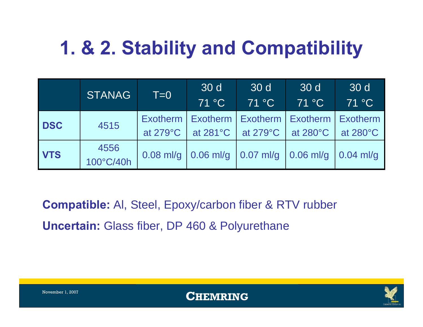## **1. & 2. Stability and Compatibility**

|            | <b>STANAG</b>     | $T=0$              | 30 d<br>71 °C                                                                     | 30 d<br>71 °C                              | 30 d<br>71 °C | 30 d<br>71 °C      |
|------------|-------------------|--------------------|-----------------------------------------------------------------------------------|--------------------------------------------|---------------|--------------------|
| <b>DSC</b> | 4515              | at $279^{\circ}$ C | Exotherm   Exotherm   Exotherm   Exotherm   Exotherm                              | at 281°C $\vert$ at 279°C $\vert$ at 280°C |               | at $280^{\circ}$ C |
| <b>VTS</b> | 4556<br>100°C/40h |                    | 0.08 ml/g $\vert$ 0.06 ml/g $\vert$ 0.07 ml/g $\vert$ 0.06 ml/g $\vert$ 0.04 ml/g |                                            |               |                    |

**Compatible:** Al, Steel, Epoxy/carbon fiber & RTV rubber **Uncertain:** Glass fiber, DP 460 & Polyurethane



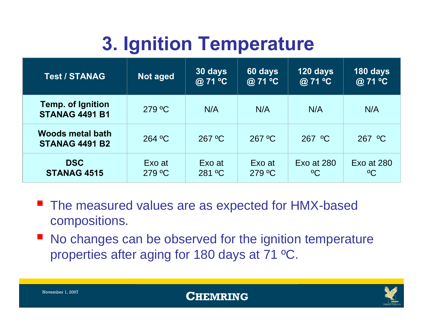## **3. Ignition Temperature**

| <b>Test / STANAG</b>                              | Not aged         | 30 days<br>@ 71 °C | 60 days<br>@ 71 °C | 120 days<br>@ 71 °C       | 180 days<br>@ 71 °C       |
|---------------------------------------------------|------------------|--------------------|--------------------|---------------------------|---------------------------|
| <b>Temp. of Ignition</b><br><b>STANAG 4491 B1</b> | 279 °C           | N/A                | N/A                | N/A                       | N/A                       |
| <b>Woods metal bath</b><br><b>STANAG 4491 B2</b>  | 264 °C           | $267 \text{ °C}$   | $267 \text{ °C}$   | $267$ °C                  | 267 °C                    |
| <b>DSC</b><br><b>STANAG 4515</b>                  | Exo at<br>279 °C | Exo at<br>281 °C   | Exo at<br>279 °C   | Exo at 280<br>$\rm ^{0}C$ | Exo at 280<br>$\rm ^{0}C$ |

- The measured values are as expected for HMX-based compositions.
- $\mathbb{R}^2$  No changes can be observed for the ignition temperature properties after aging for 180 days at 71 ºC.

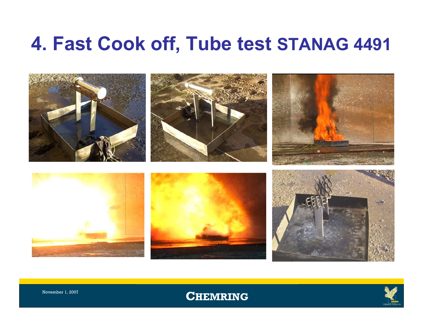#### **4. Fast Cook off, Tube test STANAG 4491**



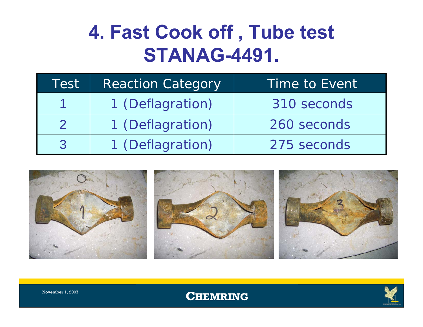#### **4. Fast Cook off , Tube test STANAG-4491.**

| Test | <b>Reaction Category</b> | Time to Event |
|------|--------------------------|---------------|
|      | 1 (Deflagration)         | 310 seconds   |
|      | 1 (Deflagration)         | 260 seconds   |
|      | 1 (Deflagration)         | 275 seconds   |



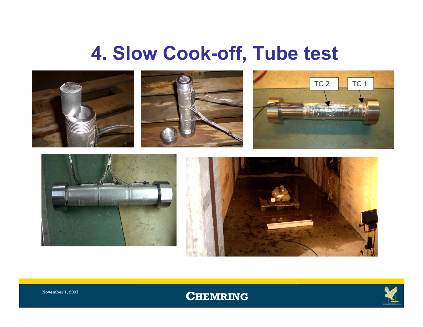#### **4. Slow Cook-off, Tube test**





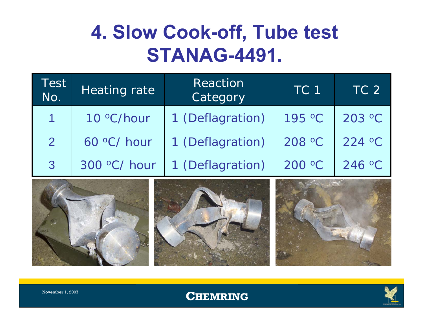#### **4. Slow Cook-off, Tube test STANAG-4491.**

| Test<br>No. | Heating rate | Reaction<br>Category | TC <sub>1</sub> | TC <sub>2</sub> |
|-------------|--------------|----------------------|-----------------|-----------------|
|             | 10 °C/hour   | 1 (Deflagration)     | 195 °C          | 203 °C          |
|             | 60 °C/ hour  | 1 (Deflagration)     | 208 °C          | 224 °C          |
| 3           | 300 °C/ hour | 1 (Deflagration)     | 200 °C          | 246 °C          |



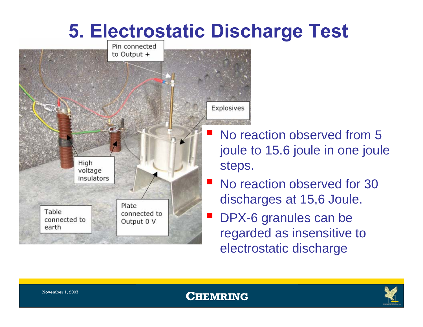#### **5. Electrostatic Discharge Test**



 No reaction observed from 5 joule to 15.6 joule in one joule steps.

- No reaction observed for 30 discharges at 15,6 Joule.
- DPX-6 granules can be regarded as insensitive to electrostatic discharge

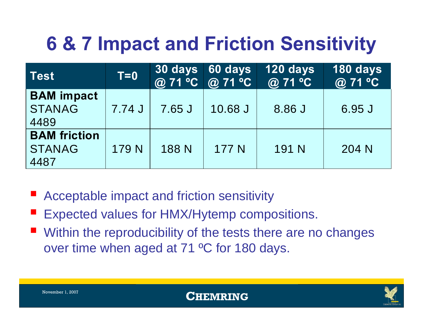## **6 & 7 Impact and Friction Sensitivity**

| <b>Test</b>                                  | $T=0$  | 30 days<br>@ 71 °C @ 71 °C | 60 days | 120 days<br>@ 71 °C | 180 days<br>@ 71 °C |
|----------------------------------------------|--------|----------------------------|---------|---------------------|---------------------|
| <b>BAM</b> impact<br><b>STANAG</b><br>4489   | 7.74 J | 7.65 J                     | 10.68 J | 8.86 J              | 6.95 J              |
| <b>BAM</b> friction<br><b>STANAG</b><br>4487 | 179 N  | 188 N                      | 177 N   | 191 N               | 204 N               |

- $\mathcal{L}_{\mathcal{A}}$ Acceptable impact and friction sensitivity
- $\mathcal{L}_{\mathcal{A}}$ Expected values for HMX/Hytemp compositions.
- Within the reproducibility of the tests there are no changes over time when aged at 71 ºC for 180 days.

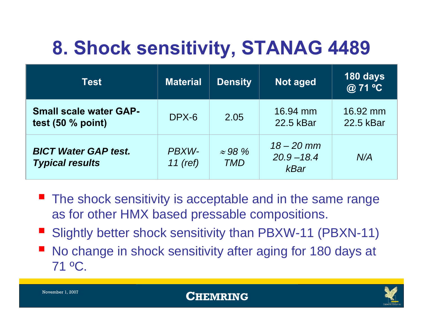## **8. Shock sensitivity, STANAG 4489**

| Test                                                  | <b>Material</b>     | <b>Density</b>               | <b>Not aged</b>                              | 180 days<br>@ 71 °C   |
|-------------------------------------------------------|---------------------|------------------------------|----------------------------------------------|-----------------------|
| <b>Small scale water GAP-</b><br>test $(50 %$ point)  | $DPX-6$             | 2.05                         | 16.94 mm<br>22.5 kBar                        | 16.92 mm<br>22.5 kBar |
| <b>BICT Water GAP test.</b><br><b>Typical results</b> | PBXW-<br>11 $(ref)$ | $\approx 98\%$<br><b>TMD</b> | $18 - 20$ mm<br>$20.9 - 18.4$<br><b>kBar</b> | N/A                   |

- **The shock sensitivity is acceptable and in the same range** as for other HMX based pressable compositions.
- $\mathbb{R}^2$ Slightly better shock sensitivity than PBXW-11 (PBXN-11)
- $\mathbb{R}^2$  No change in shock sensitivity after aging for 180 days at 71 ºC.

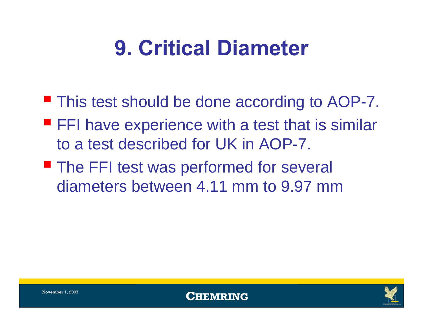## **9. Critical Diameter**

- **This test should be done according to AOP-7.**
- **FFI have experience with a test that is similar** to a test described for UK in AOP-7.
- **The FFI test was performed for several** diameters between 4.11 mm to 9.97 mm



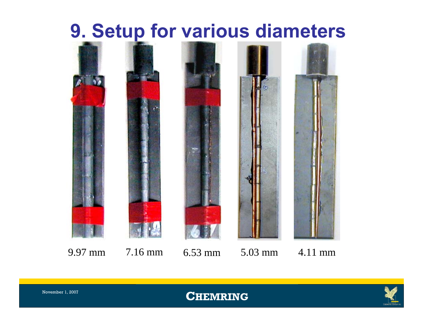#### **9. Setup for various diameters**



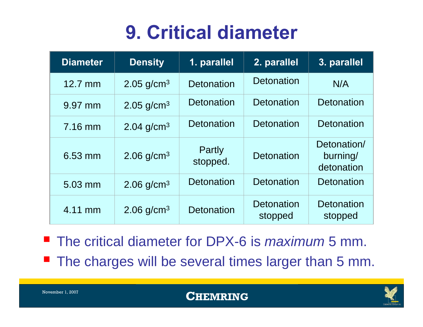#### **9. Critical diameter**

| <b>Diameter</b> | <b>Density</b>           | 1. parallel        | 2. parallel                  | 3. parallel                           |
|-----------------|--------------------------|--------------------|------------------------------|---------------------------------------|
| 12.7 mm         | $2.05$ g/cm <sup>3</sup> | Detonation         | Detonation                   | N/A                                   |
| 9.97 mm         | 2.05 $g/cm^{3}$          | Detonation         | <b>Detonation</b>            | <b>Detonation</b>                     |
| 7.16 mm         | 2.04 $g/cm^{3}$          | Detonation         | <b>Detonation</b>            | Detonation                            |
| 6.53 mm         | 2.06 $g/cm3$             | Partly<br>stopped. | Detonation                   | Detonation/<br>burning/<br>detonation |
| 5.03 mm         | $2.06$ g/cm <sup>3</sup> | <b>Detonation</b>  | <b>Detonation</b>            | <b>Detonation</b>                     |
| 4.11 mm         | 2.06 $q/cm3$             | Detonation         | <b>Detonation</b><br>stopped | <b>Detonation</b><br>stopped          |

■ The critical diameter for DPX-6 is *maximum* 5 mm. **The charges will be several times larger than 5 mm.** 



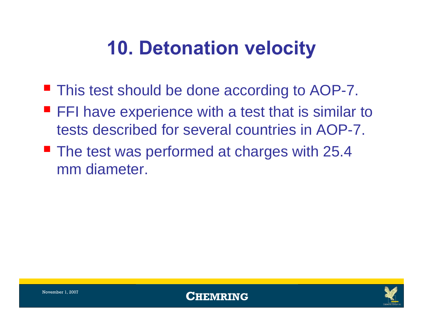## **10. Detonation velocity**

- **This test should be done according to AOP-7.**
- **FFI have experience with a test that is similar to** tests described for several countries in AOP-7.
- **The test was performed at charges with 25.4** mm diameter.





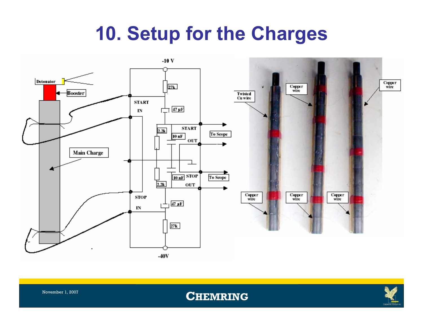#### **10. Setup for the Charges**





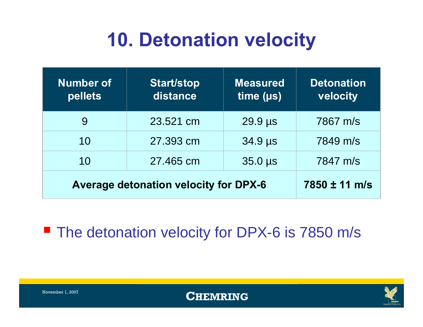### **10. Detonation velocity**

| <b>Number of</b><br>pellets                  | <b>Start/stop</b><br>distance | <b>Measured</b><br>time (µs) | <b>Detonation</b><br>velocity |
|----------------------------------------------|-------------------------------|------------------------------|-------------------------------|
| 9                                            | 23.521 cm                     | 29.9 µs                      | 7867 m/s                      |
| 10                                           | 27,393 cm                     | 34.9 µs                      | 7849 m/s                      |
| 10                                           | 27.465 cm                     | $35.0 \,\mu s$               | 7847 m/s                      |
| <b>Average detonation velocity for DPX-6</b> | 7850 ± 11 m/s                 |                              |                               |

**The detonation velocity for DPX-6 is 7850 m/s** 





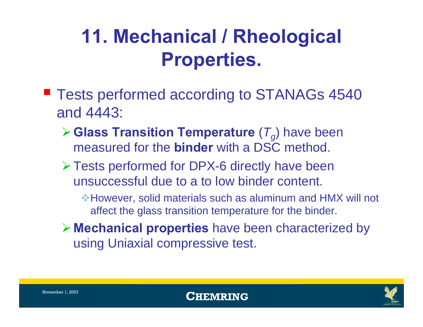### **11. Mechanical / Rheological Properties.**

- **Tests performed according to STANAGs 4540** and 4443:
	- $\triangleright$  **Glass Transition Temperature** ( $T_q$ ) have been measured for the **binder** with a DSC method.
	- ¾Tests performed for DPX-6 directly have been unsuccessful due to a to low binder content.
		- However, solid materials such as aluminum and HMX will not affect the glass transition temperature for the binder.
	- ¾ **Mechanical properties** have been characterized by using Uniaxial compressive test.

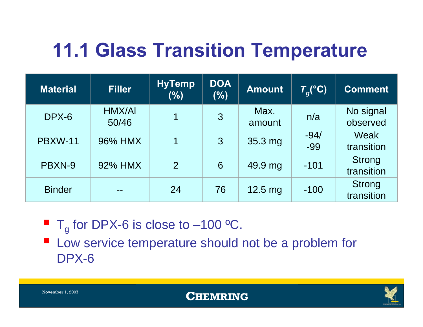## **11.1 Glass Transition Temperature**

| <b>Material</b> | <b>Filler</b>   | <b>HyTemp</b><br>(%) | <b>DOA</b><br>(%) | <b>Amount</b>     | $T_q$ <sup>(°</sup> C) | <b>Comment</b>              |
|-----------------|-----------------|----------------------|-------------------|-------------------|------------------------|-----------------------------|
| DPX-6           | HMX/AI<br>50/46 | 1                    | $\overline{3}$    | Max.<br>amount    | n/a                    | No signal<br>observed       |
| <b>PBXW-11</b>  | 96% HMX         | 1                    | 3                 | 35.3 mg           | $-94/$<br>-99          | Weak<br>transition          |
| PBXN-9          | 92% HMX         | 2                    | 6                 | 49.9 mg           | $-101$                 | <b>Strong</b><br>transition |
| <b>Binder</b>   |                 | 24                   | 76                | $12.5 \text{ mg}$ | $-100$                 | <b>Strong</b><br>transition |

 $\blacksquare$  T<sub>g</sub> for DPX-6 is close to –100 °C.

**Low service temperature should not be a problem for** DPX-6

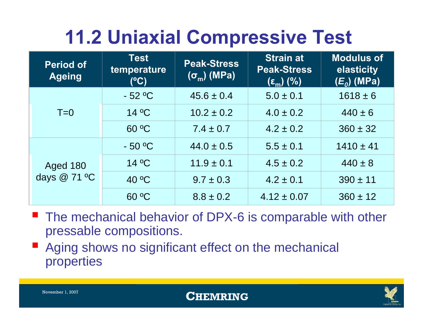## **11.2 Uniaxial Compressive Test**

| <b>Period of</b><br><b>Ageing</b> | <b>Test</b><br>temperature<br>(C) | <b>Peak-Stress</b><br>$(\sigma_{\rm m})$ (MPa) | <b>Strain at</b><br><b>Peak-Stress</b><br>$(\epsilon_{\rm m})$ (%) | <b>Modulus of</b><br>elasticity<br>$(E_o)$ (MPa) |
|-----------------------------------|-----------------------------------|------------------------------------------------|--------------------------------------------------------------------|--------------------------------------------------|
|                                   | $-52$ °C                          | $45.6 \pm 0.4$                                 | $5.0 \pm 0.1$                                                      | $1618 \pm 6$                                     |
| $T=0$                             | 14 °C                             | $10.2 \pm 0.2$                                 | $4.0 \pm 0.2$                                                      | $440 \pm 6$                                      |
|                                   | 60 °C                             | $7.4 \pm 0.7$                                  | $4.2 \pm 0.2$                                                      | $360 \pm 32$                                     |
|                                   | $-50$ °C                          | $44.0 \pm 0.5$                                 | $5.5 \pm 0.1$                                                      | $1410 \pm 41$                                    |
| <b>Aged 180</b>                   | 14 °C                             | $11.9 \pm 0.1$                                 | $4.5 \pm 0.2$                                                      | $440 \pm 8$                                      |
| days @ 71 °C                      | 40 °C                             | $9.7 \pm 0.3$                                  | $4.2 \pm 0.1$                                                      | $390 \pm 11$                                     |
|                                   | 60 °C                             | $8.8 \pm 0.2$                                  | $4.12 \pm 0.07$                                                    | $360 \pm 12$                                     |

- The mechanical behavior of DPX-6 is comparable with other pressable compositions.
- $\mathcal{L}_{\mathcal{A}}$  Aging shows no significant effect on the mechanical properties



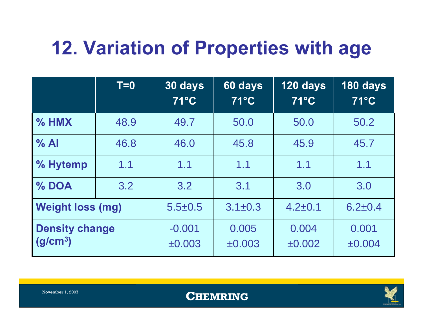## **12. Variation of Properties with age**

|                                               | $T=0$ | 30 days<br>71°C    | 60 days<br>71°C      | 120 days<br>$71^{\circ}$ C | 180 days<br>$71^{\circ}$ C |
|-----------------------------------------------|-------|--------------------|----------------------|----------------------------|----------------------------|
| $%$ HMX                                       | 48.9  | 49.7               | 50.0                 | 50.0                       | 50.2                       |
| $\%$ Al                                       | 46.8  | 46.0               | 45.8                 | 45.9                       | 45.7                       |
| % Hytemp                                      | 1.1   | 1.1                | 1.1                  | 1.1                        | 1.1                        |
| % DOA                                         | 3.2   | 3.2                | 3.1                  | 3.0                        | 3.0                        |
| <b>Weight loss (mg)</b>                       |       | $5.5 \pm 0.5$      | $3.1 \pm 0.3$        | $4.2 \pm 0.1$              | $6.2 \pm 0.4$              |
| <b>Density change</b><br>(g/cm <sup>3</sup> ) |       | $-0.001$<br>±0.003 | 0.005<br>$\pm 0.003$ | 0.004<br>±0.002            | 0.001<br>±0.004            |

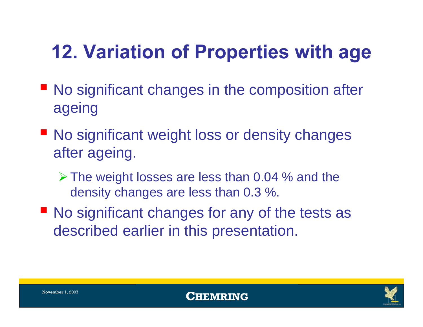## **12. Variation of Properties with age**

- No significant changes in the composition after ageing
- No significant weight loss or density changes after ageing.
	- $\triangleright$  The weight losses are less than 0.04 % and the density changes are less than 0.3 %.
- **No significant changes for any of the tests as** described earlier in this presentation.